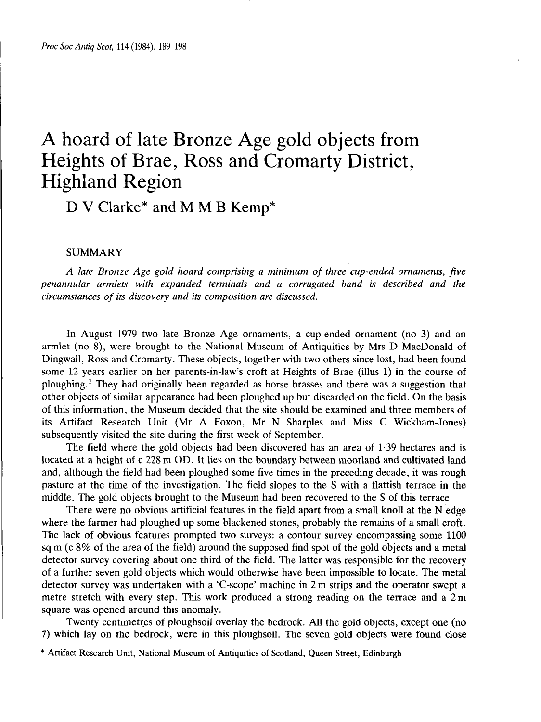# A hoard of late Bronze Age gold objects from Heights of Brae, Ross and Cromarty District, Highland Region

D V Clarke\* and M M B Kemp\*

# SUMMARY

*A late Bronze Age gold hoard comprising a minimum of three cup-ended ornaments, five penannular armlets with expanded terminals and a corrugated band is described and the circumstances of its discovery and its composition are discussed.*

In August 1979 two late Bronze Age ornaments, a cup-ended ornament (no 3) and an armlet (no 8), were brought to the National Museum of Antiquities by Mrs D MacDonald of Dingwall, Ross and Cromarty. These objects, together with two others since lost, had been found some 12 years earlier on her parents-in-law's croft at Heights of Brae (illus 1) in the course of ploughing.<sup>1</sup> They had originally been regarded as horse brasses and there was a suggestion that other objects of similar appearance had been ploughed up but discarded on the field. On the basis of this information, the Museum decided that the site should be examined and three members of its Artifact Research Unit (Mr A Foxon, Mr N Sharpies and Miss C Wickham-Jones) subsequently visited the site during the first week of September.

The field where the gold objects had been discovered has an area of 1-39 hectares and is located at a height of c 228 m OD. It lies on the boundary between moorland and cultivated land and, although the field had been ploughed some five times in the preceding decade, it was rough pasture at the time of the investigation. The field slopes to the S with a flattish terrace in the middle. The gold objects brought to the Museum had been recovered to the S of this terrace.

There were no obvious artificial features in the field apart from a small knoll at the N edge where the farmer had ploughed up some blackened stones, probably the remains of a small croft. The lack of obvious features prompted two surveys: a contour survey encompassing some 1100 sq m (c 8% of the area of the field) around the supposed find spot of the gold objects and a metal detector survey covering about one third of the field. The latter was responsible for the recovery of a further seven gold objects which would otherwise have been impossible to locate. The metal detector survey was undertaken with a 'C-scope' machine in 2 m strips and the operator swept a metre stretch with every step. This work produced a strong reading on the terrace and a 2m square was opened around this anomaly.

Twenty centimetres of ploughsoil overlay the bedrock. All the gold objects, except one (no 7) which lay on the bedrock, were in this ploughsoil. The seven gold objects were found close

<sup>\*</sup> Artifact Research Unit, National Museum of Antiquities of Scotland, Queen Street, Edinburgh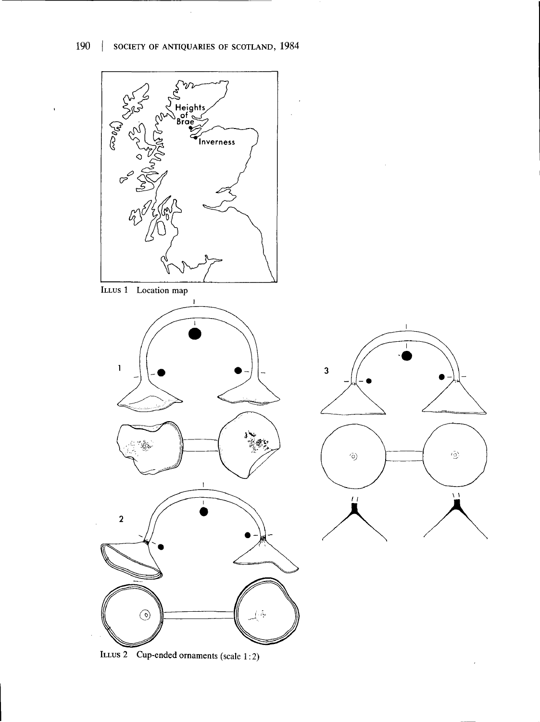

ILLUS 2 Cup-ended ornaments (scale 1:2)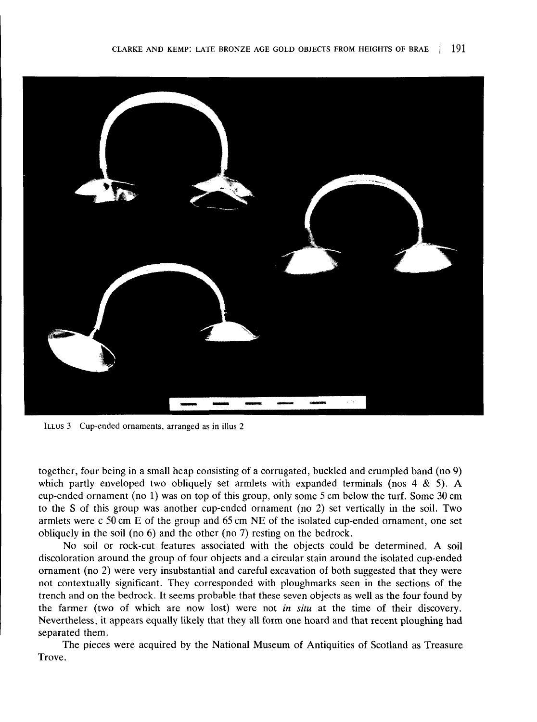

ILLUS 3 Cup-ended ornaments, arranged as in illus 2

together, four being in a small heap consisting of a corrugated, buckled and crumpled band (no 9) which partly enveloped two obliquely set armlets with expanded terminals (nos  $4 \& 5$ ). A cup-ended ornament (no 1) was on top of this group, only some 5 cm below the turf. Some 30 cm to the S of this group was another cup-ended ornament (no 2) set vertically in the soil. Two armlets were c 50 cm E of the group and 65 cm NE of the isolated cup-ended ornament, one set obliquely in the soil (no 6) and the other (no 7) resting on the bedrock.

No soil or rock-cut features associated with the objects could be determined. A soil discoloration around the group of four objects and a circular stain around the isolated cup-ended ornament (no 2) were very insubstantial and careful excavation of both suggested that they were not contextually significant. They corresponded with ploughmarks seen in the sections of the trench and on the bedrock. It seems probable that these seven objects as well as the four found by the farmer (two of which are now lost) were not *in situ* at the time of their discovery. Nevertheless, it appears equally likely that they all form one hoard and that recent ploughing had separated them.

The pieces were acquired by the National Museum of Antiquities of Scotland as Treasure Trove.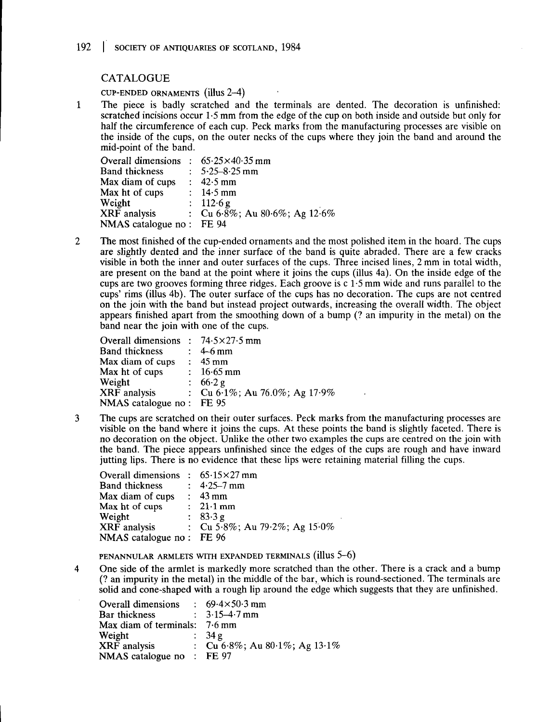# CATALOGUE

CUP-ENDED ORNAMENTS **(illuS 2-4)**

The piece is badly scratched and the terminals are dented. The decoration is unfinished:  $\mathbf{1}$ scratched incisions occur 1-5 mm from the edge of the cup on both inside and outside but only for half the circumference of each cup. Peck marks from the manufacturing processes are visible on the inside of the cups, on the outer necks of the cups where they join the band and around the mid-point of the band.

| Overall dimensions : $65.25 \times 40.35$ mm |                                          |
|----------------------------------------------|------------------------------------------|
| <b>Band thickness</b>                        | : $5.25 - 8.25$ mm                       |
| Max diam of cups                             | $\therefore$ 42.5 mm                     |
| Max ht of cups                               | : $14.5 \text{ mm}$                      |
| Weight                                       | : $112.6 g$                              |
| XRF analysis                                 | : Cu $6.8\%$ ; Au $80.6\%$ ; Ag $12.6\%$ |
| NMAS catalogue no: FE 94                     |                                          |

 $\overline{2}$ The most finished of the cup-ended ornaments and the most polished item in the hoard. The cups are slightly dented and the inner surface of the band is quite abraded. There are a few cracks visible in both the inner and outer surfaces of the cups. Three incised lines, 2 mm in total width, are present on the band at the point where it joins the cups (illus 4a). On the inside edge of the cups are two grooves forming three ridges. Each groove is c 1-5 mm wide and runs parallel to the cups' rims (illus 4b). The outer surface of the cups has no decoration. The cups are not centred on the join with the band but instead project outwards, increasing the overall width. The object appears finished apart from the smoothing down of a bump (? an impurity in the metal) on the band near the join with one of the cups.

| Overall dimensions : $74.5 \times 27.5$ mm |                                   |
|--------------------------------------------|-----------------------------------|
| <b>Band thickness</b>                      | $\div$ 4-6 mm                     |
| Max diam of cups                           | $: 45 \,\mathrm{mm}$              |
| Max ht of cups                             | : $16.65 \text{ mm}$              |
| Weight                                     | : $66.2 g$                        |
| XRF analysis                               | : Cu $6.1\%$ ; Au 76.0%; Ag 17.9% |
| NMAS catalogue no: FE 95                   |                                   |

 $\overline{3}$ The cups are scratched on their outer surfaces. Peck marks from the manufacturing processes are visible on the band where it joins the cups. At these points the band is slightly faceted. There is no decoration on the object. Unlike the other two examples the cups are centred on the join with the band. The piece appears unfinished since the edges of the cups are rough and have inward jutting lips. There is no evidence that these lips were retaining material filling the cups.

| Overall dimensions : $65.15 \times 27$ mm |                                  |
|-------------------------------------------|----------------------------------|
| <b>Band thickness</b>                     | : $4.25 - 7$ mm                  |
| Max diam of cups                          | $\therefore$ 43 mm               |
| Max ht of cups                            | $\therefore$ 21.1 mm             |
| Weight                                    | : $83.3 g$                       |
| XRF analysis                              | : Cu 5.8%; Au 79.2%; Ag $15.0\%$ |
| NMAS catalogue no : FE 96                 |                                  |

**PENANNULAR ARMLETS WITH EXPANDED TERMINALS (illuS 5-6)**

One side of the armlet is markedly more scratched than the other. There is a crack and a bump  $\overline{\mathbf{4}}$ (? an impurity in the metal) in the middle of the bar, which is round-sectioned. The terminals are solid and cone-shaped with a rough lip around the edge which suggests that they are unfinished.

| Overall dimensions              | : $69.4 \times 50.3$ mm       |
|---------------------------------|-------------------------------|
| Bar thickness                   | : $3.15 - 4.7$ mm             |
| Max diam of terminals: $7.6$ mm |                               |
| Weight                          | $\therefore$ 34 g             |
| <b>XRF</b> analysis             | : Cu 6.8%; Au 80.1%; Ag 13.1% |
| NMAS catalogue no : FE 97       |                               |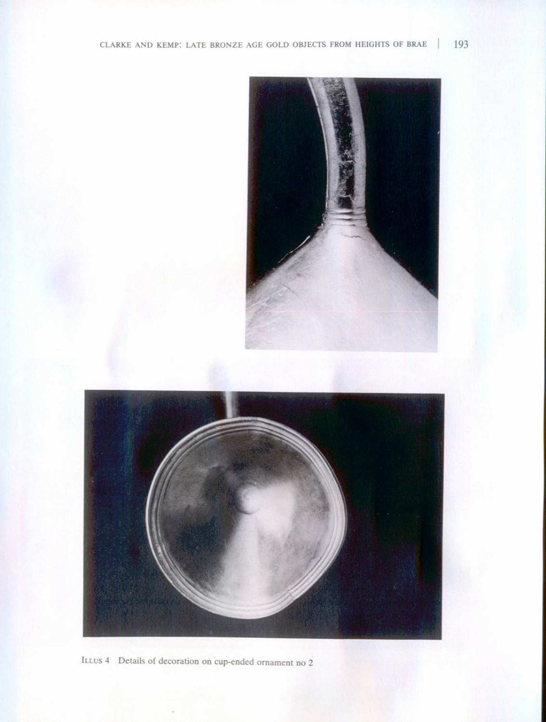

ILLUS 4 Details of decoration on cup-ended ornament no 2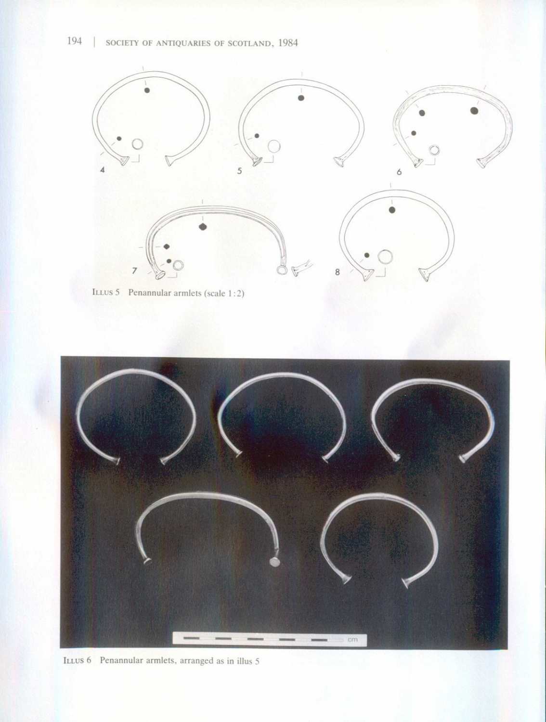SOCIETY OF ANTIQUARIES OF SCOTLAND, 1984







194 |

ILLUS 6 Penannular armlets, arranged as in illus 5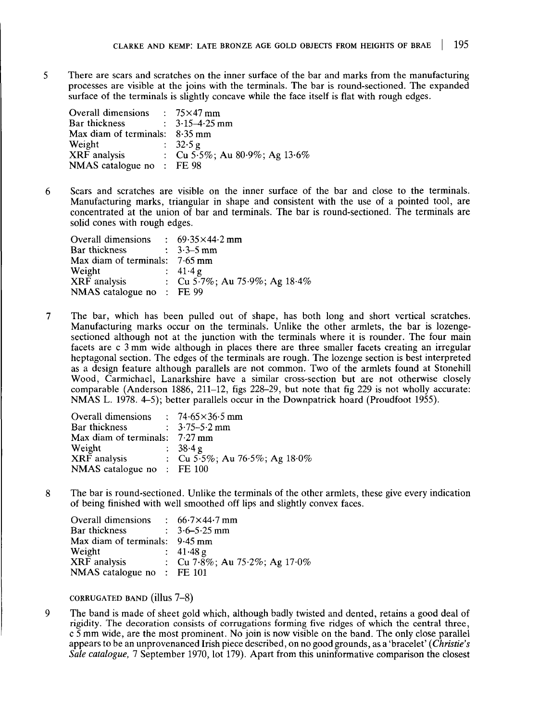5 There are scars and scratches on the inner surface of the bar and marks from the manufacturing processes are visible at the joins with the terminals. The bar is round-sectioned. The expanded surface of the terminals is slightly concave while the face itself is flat with rough edges.

| Overall dimensions : $75\times47$ mm |                               |
|--------------------------------------|-------------------------------|
| Bar thickness                        | $\therefore$ 3.15–4.25 mm     |
| Max diam of terminals: $8.35$ mm     |                               |
| Weight                               | $\therefore$ 32.5 g           |
| XRF analysis                         | : Cu 5.5%; Au 80.9%; Ag 13.6% |
| NMAS catalogue no : FE 98            |                               |

Scars and scratches are visible on the inner surface of the bar and close to the terminals. 6 Manufacturing marks, triangular in shape and consistent with the use of a pointed tool, are concentrated at the union of bar and terminals. The bar is round-sectioned. The terminals are solid cones with rough edges.

| Overall dimensions                   | : $69.35 \times 44.2$ mm         |
|--------------------------------------|----------------------------------|
| Bar thickness                        | : $3.3 - 5$ mm                   |
| Max diam of terminals: $7.65$ mm     |                                  |
| Weight                               | : 41.4g                          |
| XRF analysis                         | : Cu 5.7%; Au 75.9%; Ag $18.4\%$ |
| NMAS catalogue no $\therefore$ FE 99 |                                  |

 $\overline{7}$ The bar, which has been pulled out of shape, has both long and short vertical scratches. Manufacturing marks occur on the terminals. Unlike the other armlets, the bar is lozengesectioned although not at the junction with the terminals where it is rounder. The four main facets are c 3 mm wide although in places there are three smaller facets creating an irregular heptagonal section. The edges of the terminals are rough. The lozenge section is best interpreted as a design feature although parallels are not common. Two of the armlets found at Stonehill Wood, Carmichael, Lanarkshire have a similar cross-section but are not otherwise closely comparable (Anderson 1886, 211-12, figs 228-29, but note that fig 229 is not wholly accurate: NMAS L. 1978. 4-5); better parallels occur in the Downpatrick hoard (Proudfoot 1955).

| Overall dimensions               | $: 74.65 \times 36.5$ mm                 |
|----------------------------------|------------------------------------------|
| Bar thickness                    | $\therefore$ 3.75–5.2 mm                 |
| Max diam of terminals: $7.27$ mm |                                          |
| Weight                           | : $38.4 g$                               |
| XRF analysis                     | : Cu $5.5\%$ ; Au $76.5\%$ ; Ag $18.0\%$ |
| NMAS catalogue no : FE 100       |                                          |

8 The bar is round-sectioned. Unlike the terminals of the other armlets, these give every indication of being finished with well smoothed off lips and slightly convex faces.

| Overall dimensions             | : $66.7 \times 44.7$ mm       |
|--------------------------------|-------------------------------|
| Bar thickness                  | $\therefore$ 3.6–5.25 mm      |
| Max diam of terminals: 9.45 mm |                               |
| Weight                         | $: 41.48 \text{ g}$           |
| XRF analysis                   | : Cu 7.8%; Au 75.2%; Ag 17.0% |
| NMAS catalogue no : FE $101$   |                               |

**CORRUGATED BAND (illuS 7-8)**

9 The band is made of sheet gold which, although badly twisted and dented, retains a good deal of rigidity. The decoration consists of corrugations forming five ridges of which the central three, c 5 mm wide, are the most prominent. No join is now visible on the band. The only close parallel appears to be an unprovenanced Irish piece described, on no good grounds, as a 'bracelet' *(Christie's Sale catalogue, 1* September 1970, lot 179). Apart from this uninformative comparison the closest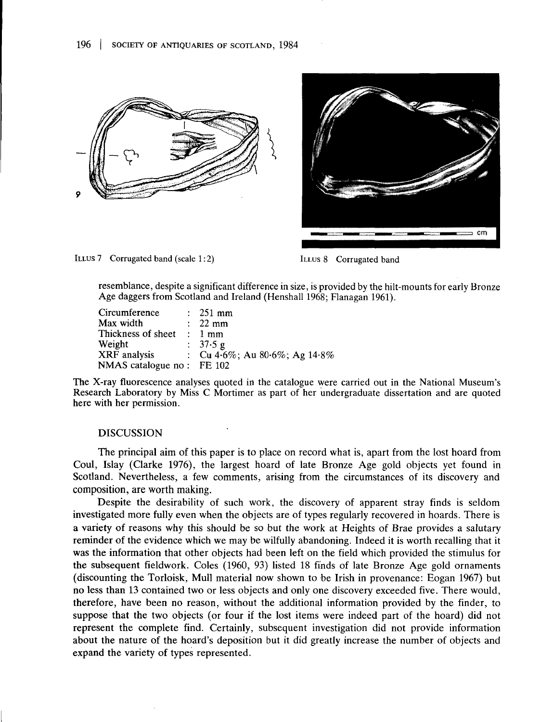



ILLUS 7 Corrugated band (scale 1:2) ILLUS 8 Corrugated band

resemblance, despite a significant difference in size, is provided by the hilt-mounts for early Bronze Age daggers from Scotland and Ireland (Henshall 1968; Flanagan 1961).

| $\therefore$ 251 mm                                                  |
|----------------------------------------------------------------------|
| $\therefore$ 22 mm                                                   |
| Thickness of sheet $\therefore$ 1 mm                                 |
| : $37.5 g$                                                           |
| XRF analysis $\qquad \qquad : \quad Cu \, 4.6\%;$ Au 80.6%; Ag 14.8% |
| NMAS catalogue no : FE 102                                           |
|                                                                      |

The X-ray fluorescence analyses quoted in the catalogue were carried out in the National Museum's Research Laboratory by Miss C Mortimer as part of her undergraduate dissertation and are quoted here with her permission.

## DISCUSSION

The principal aim of this paper is to place on record what is, apart from the lost hoard from Coul, Islay (Clarke 1976), the largest hoard of late Bronze Age gold objects yet found in Scotland. Nevertheless, a few comments, arising from the circumstances of its discovery and composition, are worth making.

Despite the desirability of such work, the discovery of apparent stray finds is seldom investigated more fully even when the objects are of types regularly recovered in hoards. There is a variety of reasons why this should be so but the work at Heights of Brae provides a salutary reminder of the evidence which we may be wilfully abandoning. Indeed it is worth recalling that it was the information that other objects had been left on the field which provided the stimulus for the subsequent fieldwork. Coles (1960, 93) listed 18 finds of late Bronze Age gold ornaments (discounting the Torloisk, Mull material now shown to be Irish in provenance: Eogan 1967) but no less than 13 contained two or less objects and only one discovery exceeded five. There would, therefore, have been no reason, without the additional information provided by the finder, to suppose that the two objects (or four if the lost items were indeed part of the hoard) did not represent the complete find. Certainly, subsequent investigation did not provide information about the nature of the hoard's deposition but it did greatly increase the number of objects and expand the variety of types represented.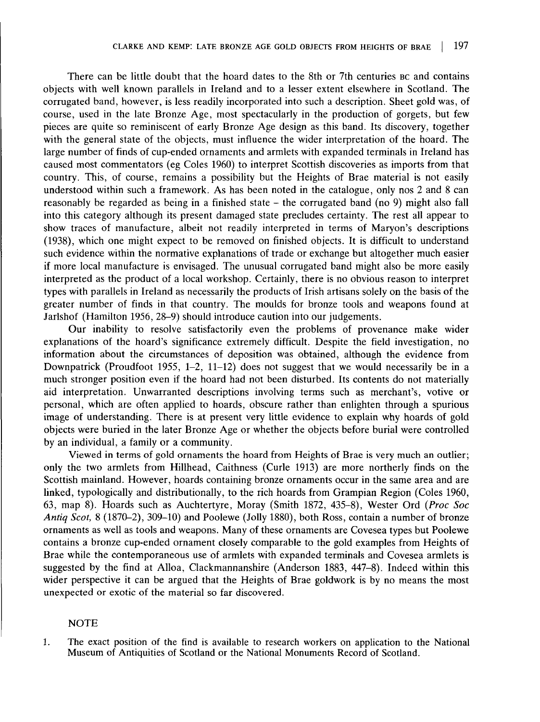There can be little doubt that the hoard dates to the 8th or 7th centuries BC and contains objects with well known parallels in Ireland and to a lesser extent elsewhere in Scotland. The corrugated band, however, is less readily incorporated into such a description. Sheet gold was, of course, used in the late Bronze Age, most spectacularly in the production of gorgets, but few pieces are quite so reminiscent of early Bronze Age design as this band. Its discovery, together with the general state of the objects, must influence the wider interpretation of the hoard. The large number of finds of cup-ended ornaments and armlets with expanded terminals in Ireland has caused most commentators (eg Coles 1960) to interpret Scottish discoveries as imports from that country. This, of course, remains a possibility but the Heights of Brae material is not easily understood within such a framework. As has been noted in the catalogue, only nos 2 and 8 can reasonably be regarded as being in a finished state - the corrugated band (no 9) might also fall into this category although its present damaged state precludes certainty. The rest all appear to show traces of manufacture, albeit not readily interpreted in terms of Maryon's descriptions (1938), which one might expect to be removed on finished objects. It is difficult to understand such evidence within the normative explanations of trade or exchange but altogether much easier if more local manufacture is envisaged. The unusual corrugated band might also be more easily interpreted as the product of a local workshop. Certainly, there is no obvious reason to interpret types with parallels in Ireland as necessarily the products of Irish artisans solely on the basis of the greater number of finds in that country. The moulds for bronze tools and weapons found at Jarlshof (Hamilton 1956, 28-9) should introduce caution into our judgements.

Our inability to resolve satisfactorily even the problems of provenance make wider explanations of the hoard's significance extremely difficult. Despite the field investigation, no information about the circumstances of deposition was obtained, although the evidence from Downpatrick (Proudfoot 1955, 1-2, 11-12) does not suggest that we would necessarily be in a much stronger position even if the hoard had not been disturbed. Its contents do not materially aid interpretation. Unwarranted descriptions involving terms such as merchant's, votive or personal, which are often applied to hoards, obscure rather than enlighten through a spurious image of understanding. There is at present very little evidence to explain why hoards of gold objects were buried in the later Bronze Age or whether the objects before burial were controlled by an individual, a family or a community.

Viewed in terms of gold ornaments the hoard from Heights of Brae is very much an outlier; only the two armlets from Hillhead, Caithness (Curie 1913) are more northerly finds on the Scottish mainland. However, hoards containing bronze ornaments occur in the same area and are linked, typologically and distributionally, to the rich hoards from Grampian Region (Coles 1960, 63, map 8). Hoards such as Auchtertyre, Moray (Smith 1872, 435-8), Wester Ord *(Proc Soc Antiq Scot,* 8 (1870-2), 309-10) and Poolewe (Jolly 1880), both Ross, contain a number of bronze ornaments as well as tools and weapons. Many of these ornaments are Covesea types but Poolewe contains a bronze cup-ended ornament closely comparable to the gold examples from Heights of Brae while the contemporaneous use of armlets with expanded terminals and Covesea armlets is suggested by the find at Alloa, Clackmannanshire (Anderson 1883, 447-8). Indeed within this wider perspective it can be argued that the Heights of Brae goldwork is by no means the most unexpected or exotic of the material so far discovered.

#### NOTE

1. The exact position of the find is available to research workers on application to the National Museum of Antiquities of Scotland or the National Monuments Record of Scotland.